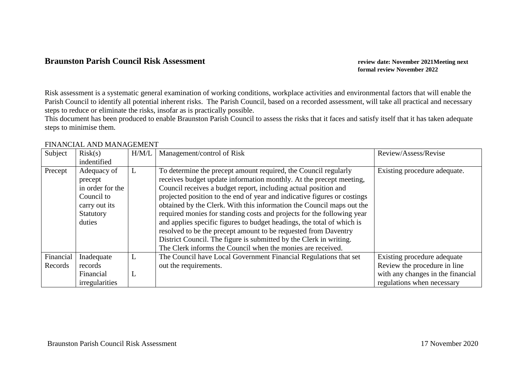## **Braunston Parish Council Risk Assessment** *review date: November 2021Meeting next**review date: November 2021Meeting next*

**formal review November 2022**

Risk assessment is a systematic general examination of working conditions, workplace activities and environmental factors that will enable the Parish Council to identify all potential inherent risks. The Parish Council, based on a recorded assessment, will take all practical and necessary steps to reduce or eliminate the risks, insofar as is practically possible.

This document has been produced to enable Braunston Parish Council to assess the risks that it faces and satisfy itself that it has taken adequate steps to minimise them.

| Subject   | Risk(s)          | H/M/L | Management/control of Risk                                               | Review/Assess/Revise              |
|-----------|------------------|-------|--------------------------------------------------------------------------|-----------------------------------|
|           | indentified      |       |                                                                          |                                   |
| Precept   | Adequacy of      | L     | To determine the precept amount required, the Council regularly          | Existing procedure adequate.      |
|           | precept          |       | receives budget update information monthly. At the precept meeting,      |                                   |
|           | in order for the |       | Council receives a budget report, including actual position and          |                                   |
|           | Council to       |       | projected position to the end of year and indicative figures or costings |                                   |
|           | carry out its    |       | obtained by the Clerk. With this information the Council maps out the    |                                   |
|           | Statutory        |       | required monies for standing costs and projects for the following year   |                                   |
|           | duties           |       | and applies specific figures to budget headings, the total of which is   |                                   |
|           |                  |       | resolved to be the precept amount to be requested from Daventry          |                                   |
|           |                  |       | District Council. The figure is submitted by the Clerk in writing.       |                                   |
|           |                  |       | The Clerk informs the Council when the monies are received.              |                                   |
| Financial | Inadequate       | L     | The Council have Local Government Financial Regulations that set         | Existing procedure adequate       |
| Records   | records          |       | out the requirements.                                                    | Review the procedure in line      |
|           | Financial        | L     |                                                                          | with any changes in the financial |
|           | irregularities   |       |                                                                          | regulations when necessary        |

## FINANCIAL AND MANAGEMENT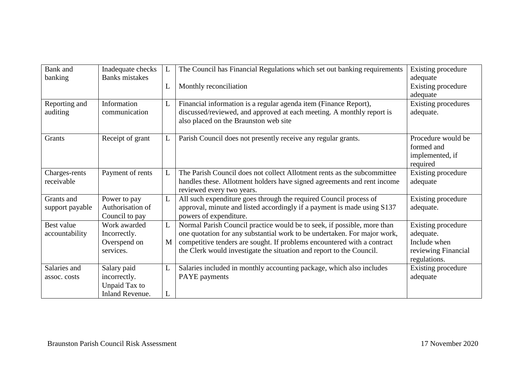| Bank and                      | Inadequate checks                                                      | L      | The Council has Financial Regulations which set out banking requirements                                                                                                                                                                                                                               | Existing procedure                                                                     |
|-------------------------------|------------------------------------------------------------------------|--------|--------------------------------------------------------------------------------------------------------------------------------------------------------------------------------------------------------------------------------------------------------------------------------------------------------|----------------------------------------------------------------------------------------|
| banking                       | <b>Banks</b> mistakes                                                  | L      | Monthly reconciliation                                                                                                                                                                                                                                                                                 | adequate<br>Existing procedure<br>adequate                                             |
| Reporting and<br>auditing     | Information<br>communication                                           | L      | Financial information is a regular agenda item (Finance Report),<br>discussed/reviewed, and approved at each meeting. A monthly report is<br>also placed on the Braunston web site                                                                                                                     | <b>Existing procedures</b><br>adequate.                                                |
| Grants                        | Receipt of grant                                                       | L      | Parish Council does not presently receive any regular grants.                                                                                                                                                                                                                                          | Procedure would be<br>formed and<br>implemented, if<br>required                        |
| Charges-rents<br>receivable   | Payment of rents                                                       | L      | The Parish Council does not collect Allotment rents as the subcommittee<br>handles these. Allotment holders have signed agreements and rent income<br>reviewed every two years.                                                                                                                        | Existing procedure<br>adequate                                                         |
| Grants and<br>support payable | Power to pay<br>Authorisation of<br>Council to pay                     | L      | All such expenditure goes through the required Council process of<br>approval, minute and listed accordingly if a payment is made using S137<br>powers of expenditure.                                                                                                                                 | Existing procedure<br>adequate.                                                        |
| Best value<br>accountability  | Work awarded<br>Incorrectly.<br>Overspend on<br>services.              | L<br>M | Normal Parish Council practice would be to seek, if possible, more than<br>one quotation for any substantial work to be undertaken. For major work,<br>competitive tenders are sought. If problems encountered with a contract<br>the Clerk would investigate the situation and report to the Council. | Existing procedure<br>adequate.<br>Include when<br>reviewing Financial<br>regulations. |
| Salaries and<br>assoc. costs  | Salary paid<br>incorrectly.<br>Unpaid Tax to<br><b>Inland Revenue.</b> | L<br>L | Salaries included in monthly accounting package, which also includes<br>PAYE payments                                                                                                                                                                                                                  | Existing procedure<br>adequate                                                         |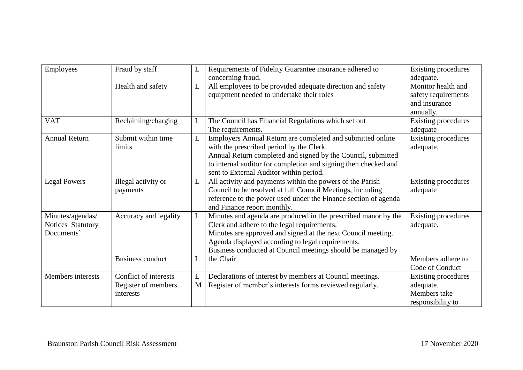| Employees            | Fraud by staff          | L | Requirements of Fidelity Guarantee insurance adhered to         | <b>Existing procedures</b> |
|----------------------|-------------------------|---|-----------------------------------------------------------------|----------------------------|
|                      |                         |   | concerning fraud.                                               | adequate.                  |
|                      | Health and safety       | L | All employees to be provided adequate direction and safety      | Monitor health and         |
|                      |                         |   | equipment needed to undertake their roles                       | safety requirements        |
|                      |                         |   |                                                                 | and insurance              |
|                      |                         |   |                                                                 | annually.                  |
| <b>VAT</b>           | Reclaiming/charging     | L | The Council has Financial Regulations which set out             | Existing procedures        |
|                      |                         |   | The requirements.                                               | adequate                   |
| <b>Annual Return</b> | Submit within time      | L | Employers Annual Return are completed and submitted online      | Existing procedures        |
|                      | limits                  |   | with the prescribed period by the Clerk.                        | adequate.                  |
|                      |                         |   | Annual Return completed and signed by the Council, submitted    |                            |
|                      |                         |   | to internal auditor for completion and signing then checked and |                            |
|                      |                         |   | sent to External Auditor within period.                         |                            |
| <b>Legal Powers</b>  | Illegal activity or     | L | All activity and payments within the powers of the Parish       | Existing procedures        |
|                      | payments                |   | Council to be resolved at full Council Meetings, including      | adequate                   |
|                      |                         |   | reference to the power used under the Finance section of agenda |                            |
|                      |                         |   | and Finance report monthly.                                     |                            |
| Minutes/agendas/     | Accuracy and legality   | L | Minutes and agenda are produced in the prescribed manor by the  | Existing procedures        |
| Notices Statutory    |                         |   | Clerk and adhere to the legal requirements.                     | adequate.                  |
| Documents            |                         |   | Minutes are approved and signed at the next Council meeting.    |                            |
|                      |                         |   | Agenda displayed according to legal requirements.               |                            |
|                      |                         |   | Business conducted at Council meetings should be managed by     |                            |
|                      | <b>Business conduct</b> | L | the Chair                                                       | Members adhere to          |
|                      |                         |   |                                                                 | Code of Conduct            |
| Members interests    | Conflict of interests   | L | Declarations of interest by members at Council meetings.        | <b>Existing procedures</b> |
|                      | Register of members     | M | Register of member's interests forms reviewed regularly.        | adequate.                  |
|                      | interests               |   |                                                                 | Members take               |
|                      |                         |   |                                                                 | responsibility to          |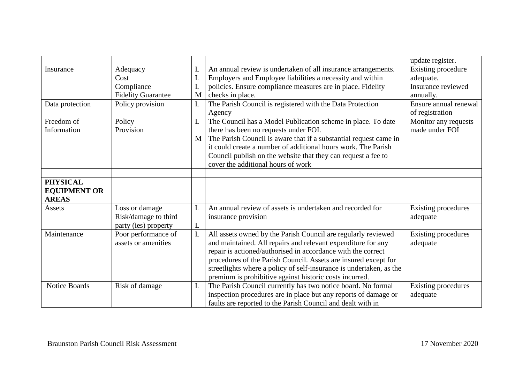|                      |                           |   |                                                                     | update register.           |
|----------------------|---------------------------|---|---------------------------------------------------------------------|----------------------------|
| Insurance            | Adequacy                  | L | An annual review is undertaken of all insurance arrangements.       | <b>Existing procedure</b>  |
|                      | Cost                      | L | Employers and Employee liabilities a necessity and within           | adequate.                  |
|                      | Compliance                | L | policies. Ensure compliance measures are in place. Fidelity         | Insurance reviewed         |
|                      | <b>Fidelity Guarantee</b> | M | checks in place.                                                    | annually.                  |
| Data protection      | Policy provision          | L | The Parish Council is registered with the Data Protection           | Ensure annual renewal      |
|                      |                           |   | Agency                                                              | of registration            |
| Freedom of           | Policy                    | L | The Council has a Model Publication scheme in place. To date        | Monitor any requests       |
| Information          | Provision                 |   | there has been no requests under FOI.                               | made under FOI             |
|                      |                           | M | The Parish Council is aware that if a substantial request came in   |                            |
|                      |                           |   | it could create a number of additional hours work. The Parish       |                            |
|                      |                           |   | Council publish on the website that they can request a fee to       |                            |
|                      |                           |   | cover the additional hours of work                                  |                            |
|                      |                           |   |                                                                     |                            |
| <b>PHYSICAL</b>      |                           |   |                                                                     |                            |
| <b>EQUIPMENT OR</b>  |                           |   |                                                                     |                            |
| <b>AREAS</b>         |                           |   |                                                                     |                            |
| Assets               | Loss or damage            | L | An annual review of assets is undertaken and recorded for           | <b>Existing procedures</b> |
|                      | Risk/damage to third      |   | insurance provision                                                 | adequate                   |
|                      | party (ies) property      | L |                                                                     |                            |
| Maintenance          | Poor performance of       | L | All assets owned by the Parish Council are regularly reviewed       | <b>Existing procedures</b> |
|                      | assets or amenities       |   | and maintained. All repairs and relevant expenditure for any        | adequate                   |
|                      |                           |   | repair is actioned/authorised in accordance with the correct        |                            |
|                      |                           |   | procedures of the Parish Council. Assets are insured except for     |                            |
|                      |                           |   | streetlights where a policy of self-insurance is undertaken, as the |                            |
|                      |                           |   | premium is prohibitive against historic costs incurred.             |                            |
| <b>Notice Boards</b> | Risk of damage            | L | The Parish Council currently has two notice board. No formal        | <b>Existing procedures</b> |
|                      |                           |   | inspection procedures are in place but any reports of damage or     | adequate                   |
|                      |                           |   | faults are reported to the Parish Council and dealt with in         |                            |